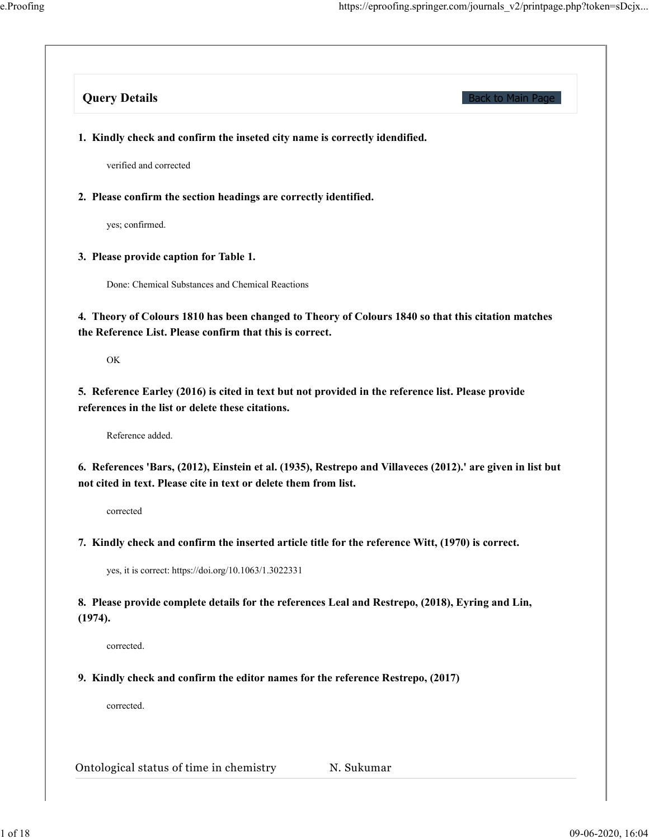| <b>Query Details</b>                                                                                                                                                            | <b>Back to Main Page</b> |
|---------------------------------------------------------------------------------------------------------------------------------------------------------------------------------|--------------------------|
| 1. Kindly check and confirm the inseted city name is correctly idendified.                                                                                                      |                          |
| verified and corrected                                                                                                                                                          |                          |
| 2. Please confirm the section headings are correctly identified.                                                                                                                |                          |
| yes; confirmed.                                                                                                                                                                 |                          |
| 3. Please provide caption for Table 1.                                                                                                                                          |                          |
| Done: Chemical Substances and Chemical Reactions                                                                                                                                |                          |
| 4. Theory of Colours 1810 has been changed to Theory of Colours 1840 so that this citation matches<br>the Reference List. Please confirm that this is correct.                  |                          |
| OK                                                                                                                                                                              |                          |
| 5. Reference Earley (2016) is cited in text but not provided in the reference list. Please provide<br>references in the list or delete these citations.                         |                          |
| Reference added.                                                                                                                                                                |                          |
| 6. References 'Bars, (2012), Einstein et al. (1935), Restrepo and Villaveces (2012).' are given in list but<br>not cited in text. Please cite in text or delete them from list. |                          |
| corrected                                                                                                                                                                       |                          |
| 7. Kindly check and confirm the inserted article title for the reference Witt, (1970) is correct.                                                                               |                          |
| yes, it is correct: https://doi.org/10.1063/1.3022331                                                                                                                           |                          |
| 8. Please provide complete details for the references Leal and Restrepo, (2018), Eyring and Lin,<br>(1974).                                                                     |                          |
| corrected.                                                                                                                                                                      |                          |
|                                                                                                                                                                                 |                          |
| 9. Kindly check and confirm the editor names for the reference Restrepo, (2017)                                                                                                 |                          |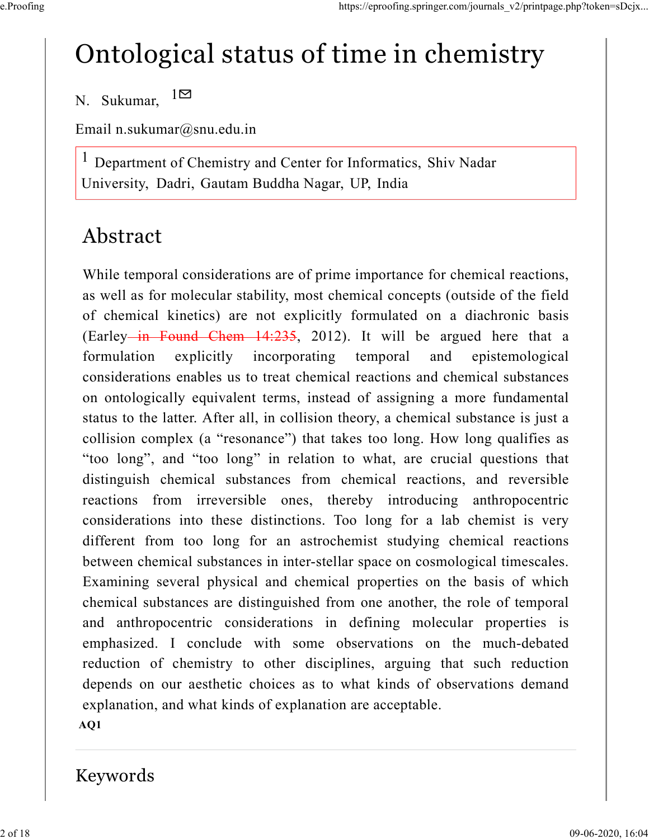# Ontological status of time in chemistry

N. Sukumar,  $1 \boxtimes$ 

Email n.sukumar@snu.edu.in

Department of Chemistry and Center for Informatics, Shiv Nadar University, Dadri, Gautam Buddha Nagar, UP, India 1

### Abstract

While temporal considerations are of prime importance for chemical reactions, as well as for molecular stability, most chemical concepts (outside of the field of chemical kinetics) are not explicitly formulated on a diachronic basis (Earley in Found Chem  $14:235$ , 2012). It will be argued here that a formulation explicitly incorporating temporal and epistemological considerations enables us to treat chemical reactions and chemical substances on ontologically equivalent terms, instead of assigning a more fundamental status to the latter. After all, in collision theory, a chemical substance is just a collision complex (a "resonance") that takes too long. How long qualifies as "too long", and "too long" in relation to what, are crucial questions that distinguish chemical substances from chemical reactions, and reversible reactions from irreversible ones, thereby introducing anthropocentric considerations into these distinctions. Too long for a lab chemist is very different from too long for an astrochemist studying chemical reactions between chemical substances in inter-stellar space on cosmological timescales. Examining several physical and chemical properties on the basis of which chemical substances are distinguished from one another, the role of temporal and anthropocentric considerations in defining molecular properties is emphasized. I conclude with some observations on the much-debated reduction of chemistry to other disciplines, arguing that such reduction depends on our aesthetic choices as to what kinds of observations demand explanation, and what kinds of explanation are acceptable. AQ1

#### Keywords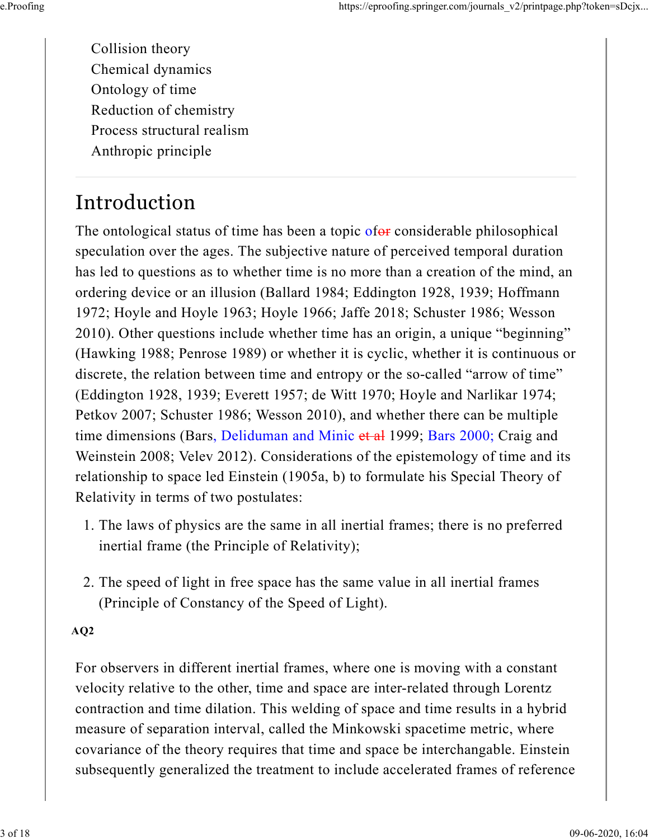Collision theory Chemical dynamics Ontology of time Reduction of chemistry Process structural realism Anthropic principle

## Introduction

The ontological status of time has been a topic of $\theta$  considerable philosophical speculation over the ages. The subjective nature of perceived temporal duration has led to questions as to whether time is no more than a creation of the mind, an ordering device or an illusion (Ballard 1984; Eddington 1928, 1939; Hoffmann 1972; Hoyle and Hoyle 1963; Hoyle 1966; Jaffe 2018; Schuster 1986; Wesson 2010). Other questions include whether time has an origin, a unique "beginning" (Hawking 1988; Penrose 1989) or whether it is cyclic, whether it is continuous or discrete, the relation between time and entropy or the so-called "arrow of time" (Eddington 1928, 1939; Everett 1957; de Witt 1970; Hoyle and Narlikar 1974; Petkov 2007; Schuster 1986; Wesson 2010), and whether there can be multiple time dimensions (Bars, Deliduman and Minic et al 1999; Bars 2000; Craig and Weinstein 2008; Velev 2012). Considerations of the epistemology of time and its relationship to space led Einstein (1905a, b) to formulate his Special Theory of Relativity in terms of two postulates:

- 1. The laws of physics are the same in all inertial frames; there is no preferred inertial frame (the Principle of Relativity);
- 2. The speed of light in free space has the same value in all inertial frames (Principle of Constancy of the Speed of Light).

AQ2

For observers in different inertial frames, where one is moving with a constant velocity relative to the other, time and space are inter-related through Lorentz contraction and time dilation. This welding of space and time results in a hybrid measure of separation interval, called the Minkowski spacetime metric, where covariance of the theory requires that time and space be interchangable. Einstein subsequently generalized the treatment to include accelerated frames of reference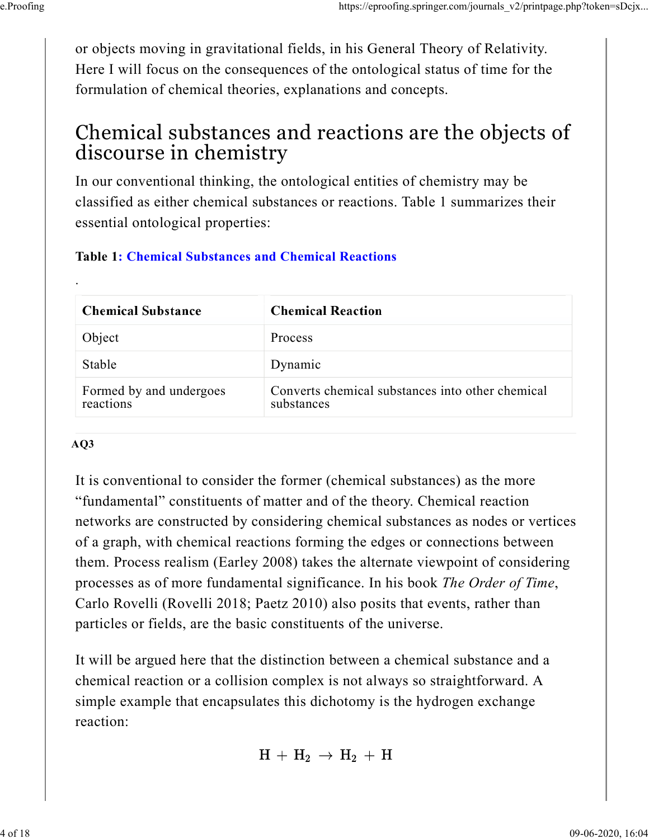or objects moving in gravitational fields, in his General Theory of Relativity. Here I will focus on the consequences of the ontological status of time for the formulation of chemical theories, explanations and concepts.

#### Chemical substances and reactions are the objects of discourse in chemistry

In our conventional thinking, the ontological entities of chemistry may be classified as either chemical substances or reactions. Table 1 summarizes their essential ontological properties:

#### Table 1: Chemical Substances and Chemical Reactions

| <b>Chemical Substance</b>            | <b>Chemical Reaction</b>                                       |
|--------------------------------------|----------------------------------------------------------------|
| Object                               | Process                                                        |
| Stable                               | Dynamic                                                        |
| Formed by and undergoes<br>reactions | Converts chemical substances into other chemical<br>substances |

#### $AO3$

.

It is conventional to consider the former (chemical substances) as the more "fundamental" constituents of matter and of the theory. Chemical reaction networks are constructed by considering chemical substances as nodes or vertices of a graph, with chemical reactions forming the edges or connections between them. Process realism (Earley 2008) takes the alternate viewpoint of considering processes as of more fundamental significance. In his book The Order of Time, Carlo Rovelli (Rovelli 2018; Paetz 2010) also posits that events, rather than particles or fields, are the basic constituents of the universe.

It will be argued here that the distinction between a chemical substance and a chemical reaction or a collision complex is not always so straightforward. A simple example that encapsulates this dichotomy is the hydrogen exchange reaction:

 $H + H_2 \rightarrow H_2 + H$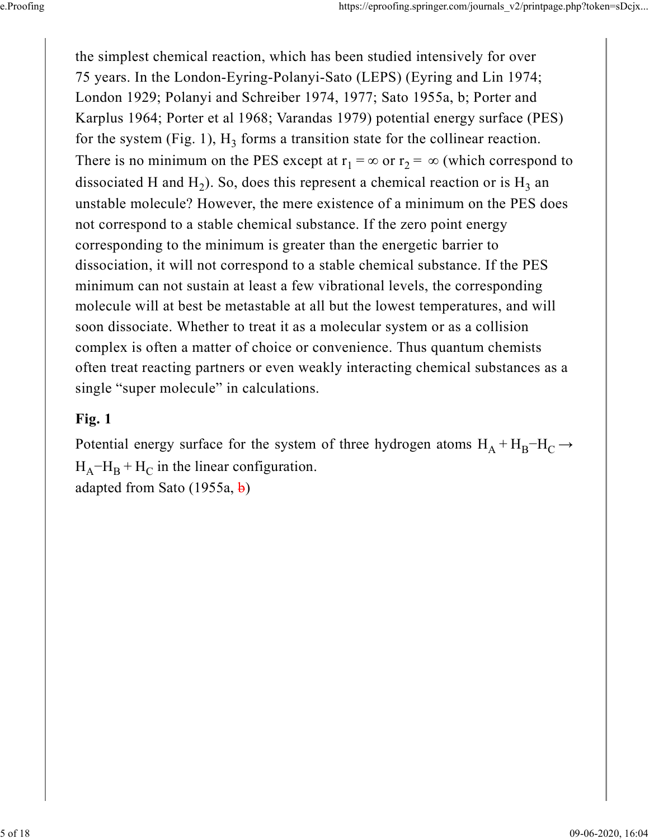the simplest chemical reaction, which has been studied intensively for over 75 years. In the London-Eyring-Polanyi-Sato (LEPS) (Eyring and Lin 1974; London 1929; Polanyi and Schreiber 1974, 1977; Sato 1955a, b; Porter and Karplus 1964; Porter et al 1968; Varandas 1979) potential energy surface (PES) for the system (Fig. 1),  $H_3$  forms a transition state for the collinear reaction. There is no minimum on the PES except at  $r_1 = \infty$  or  $r_2 = \infty$  (which correspond to dissociated H and H<sub>2</sub>). So, does this represent a chemical reaction or is H<sub>3</sub> an unstable molecule? However, the mere existence of a minimum on the PES does not correspond to a stable chemical substance. If the zero point energy corresponding to the minimum is greater than the energetic barrier to dissociation, it will not correspond to a stable chemical substance. If the PES minimum can not sustain at least a few vibrational levels, the corresponding molecule will at best be metastable at all but the lowest temperatures, and will soon dissociate. Whether to treat it as a molecular system or as a collision complex is often a matter of choice or convenience. Thus quantum chemists often treat reacting partners or even weakly interacting chemical substances as a single "super molecule" in calculations.

#### Fig. 1

Potential energy surface for the system of three hydrogen atoms  $H_A + H_B - H_C \rightarrow$  $H_A$ <sup>-</sup> $H_B$  +  $H_C$  in the linear configuration. adapted from Sato (1955a, b)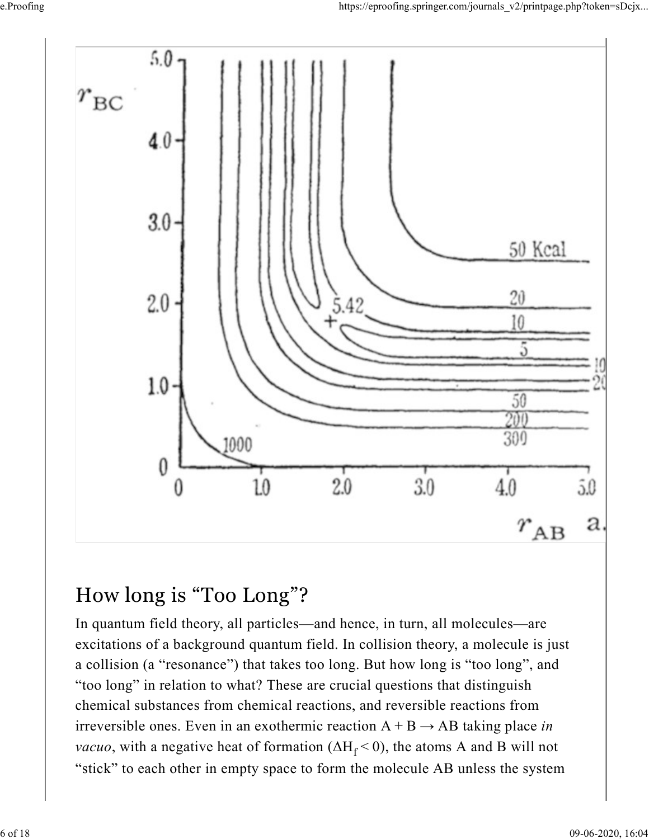

#### How long is "Too Long"?

In quantum field theory, all particles—and hence, in turn, all molecules—are excitations of a background quantum field. In collision theory, a molecule is just a collision (a "resonance") that takes too long. But how long is "too long", and "too long" in relation to what? These are crucial questions that distinguish chemical substances from chemical reactions, and reversible reactions from irreversible ones. Even in an exothermic reaction  $A + B \rightarrow AB$  taking place in *vacuo*, with a negative heat of formation ( $\Delta H_f < 0$ ), the atoms A and B will not "stick" to each other in empty space to form the molecule AB unless the system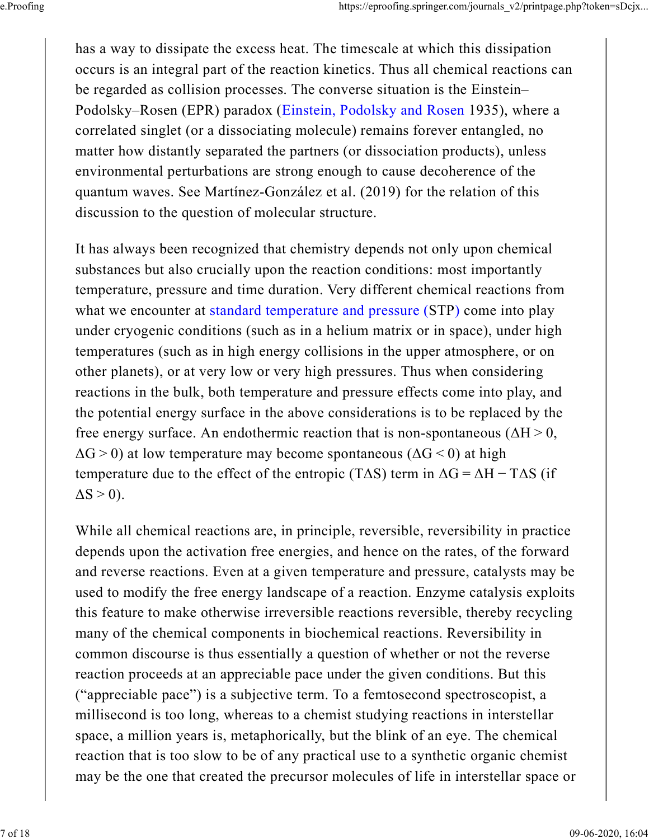has a way to dissipate the excess heat. The timescale at which this dissipation occurs is an integral part of the reaction kinetics. Thus all chemical reactions can be regarded as collision processes. The converse situation is the Einstein– Podolsky–Rosen (EPR) paradox (Einstein, Podolsky and Rosen 1935), where a correlated singlet (or a dissociating molecule) remains forever entangled, no matter how distantly separated the partners (or dissociation products), unless environmental perturbations are strong enough to cause decoherence of the quantum waves. See Martínez-González et al. (2019) for the relation of this discussion to the question of molecular structure.

It has always been recognized that chemistry depends not only upon chemical substances but also crucially upon the reaction conditions: most importantly temperature, pressure and time duration. Very different chemical reactions from what we encounter at standard temperature and pressure (STP) come into play under cryogenic conditions (such as in a helium matrix or in space), under high temperatures (such as in high energy collisions in the upper atmosphere, or on other planets), or at very low or very high pressures. Thus when considering reactions in the bulk, both temperature and pressure effects come into play, and the potential energy surface in the above considerations is to be replaced by the free energy surface. An endothermic reaction that is non-spontaneous ( $\Delta H > 0$ ,  $\Delta G$  > 0) at low temperature may become spontaneous ( $\Delta G$  < 0) at high temperature due to the effect of the entropic (T $\Delta S$ ) term in  $\Delta G = \Delta H - T \Delta S$  (if  $\Delta S > 0$ ).

While all chemical reactions are, in principle, reversible, reversibility in practice depends upon the activation free energies, and hence on the rates, of the forward and reverse reactions. Even at a given temperature and pressure, catalysts may be used to modify the free energy landscape of a reaction. Enzyme catalysis exploits this feature to make otherwise irreversible reactions reversible, thereby recycling many of the chemical components in biochemical reactions. Reversibility in common discourse is thus essentially a question of whether or not the reverse reaction proceeds at an appreciable pace under the given conditions. But this ("appreciable pace") is a subjective term. To a femtosecond spectroscopist, a millisecond is too long, whereas to a chemist studying reactions in interstellar space, a million years is, metaphorically, but the blink of an eye. The chemical reaction that is too slow to be of any practical use to a synthetic organic chemist may be the one that created the precursor molecules of life in interstellar space or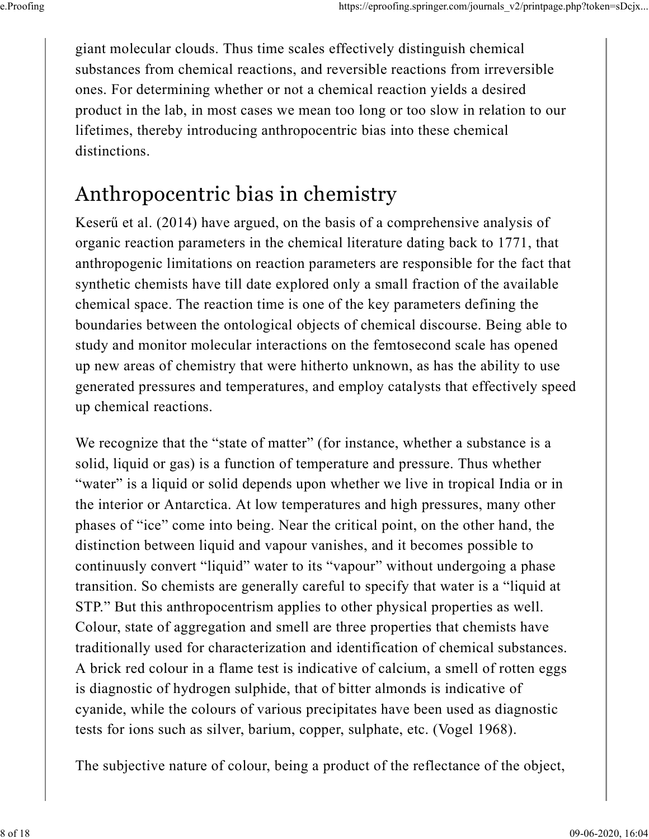giant molecular clouds. Thus time scales effectively distinguish chemical substances from chemical reactions, and reversible reactions from irreversible ones. For determining whether or not a chemical reaction yields a desired product in the lab, in most cases we mean too long or too slow in relation to our lifetimes, thereby introducing anthropocentric bias into these chemical distinctions.

## Anthropocentric bias in chemistry

Keserű et al. (2014) have argued, on the basis of a comprehensive analysis of organic reaction parameters in the chemical literature dating back to 1771, that anthropogenic limitations on reaction parameters are responsible for the fact that synthetic chemists have till date explored only a small fraction of the available chemical space. The reaction time is one of the key parameters defining the boundaries between the ontological objects of chemical discourse. Being able to study and monitor molecular interactions on the femtosecond scale has opened up new areas of chemistry that were hitherto unknown, as has the ability to use generated pressures and temperatures, and employ catalysts that effectively speed up chemical reactions.

We recognize that the "state of matter" (for instance, whether a substance is a solid, liquid or gas) is a function of temperature and pressure. Thus whether "water" is a liquid or solid depends upon whether we live in tropical India or in the interior or Antarctica. At low temperatures and high pressures, many other phases of "ice" come into being. Near the critical point, on the other hand, the distinction between liquid and vapour vanishes, and it becomes possible to continuusly convert "liquid" water to its "vapour" without undergoing a phase transition. So chemists are generally careful to specify that water is a "liquid at STP." But this anthropocentrism applies to other physical properties as well. Colour, state of aggregation and smell are three properties that chemists have traditionally used for characterization and identification of chemical substances. A brick red colour in a flame test is indicative of calcium, a smell of rotten eggs is diagnostic of hydrogen sulphide, that of bitter almonds is indicative of cyanide, while the colours of various precipitates have been used as diagnostic tests for ions such as silver, barium, copper, sulphate, etc. (Vogel 1968).

The subjective nature of colour, being a product of the reflectance of the object,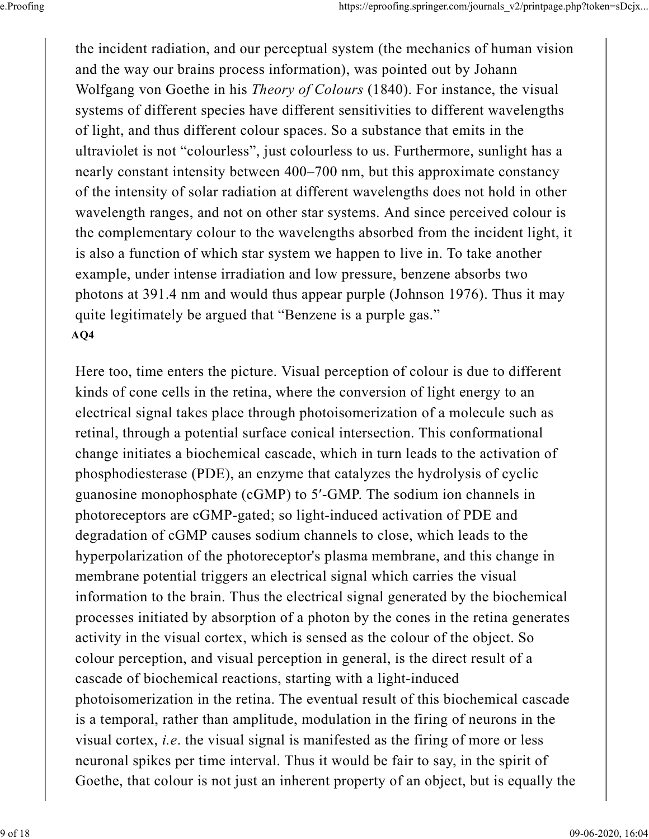the incident radiation, and our perceptual system (the mechanics of human vision and the way our brains process information), was pointed out by Johann Wolfgang von Goethe in his Theory of Colours (1840). For instance, the visual systems of different species have different sensitivities to different wavelengths of light, and thus different colour spaces. So a substance that emits in the ultraviolet is not "colourless", just colourless to us. Furthermore, sunlight has a nearly constant intensity between 400–700 nm, but this approximate constancy of the intensity of solar radiation at different wavelengths does not hold in other wavelength ranges, and not on other star systems. And since perceived colour is the complementary colour to the wavelengths absorbed from the incident light, it is also a function of which star system we happen to live in. To take another example, under intense irradiation and low pressure, benzene absorbs two photons at 391.4 nm and would thus appear purple (Johnson 1976). Thus it may quite legitimately be argued that "Benzene is a purple gas." AQ4

Here too, time enters the picture. Visual perception of colour is due to different kinds of cone cells in the retina, where the conversion of light energy to an electrical signal takes place through photoisomerization of a molecule such as retinal, through a potential surface conical intersection. This conformational change initiates a biochemical cascade, which in turn leads to the activation of phosphodiesterase (PDE), an enzyme that catalyzes the hydrolysis of cyclic guanosine monophosphate (cGMP) to 5′-GMP. The sodium ion channels in photoreceptors are cGMP-gated; so light-induced activation of PDE and degradation of cGMP causes sodium channels to close, which leads to the hyperpolarization of the photoreceptor's plasma membrane, and this change in membrane potential triggers an electrical signal which carries the visual information to the brain. Thus the electrical signal generated by the biochemical processes initiated by absorption of a photon by the cones in the retina generates activity in the visual cortex, which is sensed as the colour of the object. So colour perception, and visual perception in general, is the direct result of a cascade of biochemical reactions, starting with a light-induced photoisomerization in the retina. The eventual result of this biochemical cascade is a temporal, rather than amplitude, modulation in the firing of neurons in the visual cortex, *i.e.* the visual signal is manifested as the firing of more or less neuronal spikes per time interval. Thus it would be fair to say, in the spirit of Goethe, that colour is not just an inherent property of an object, but is equally the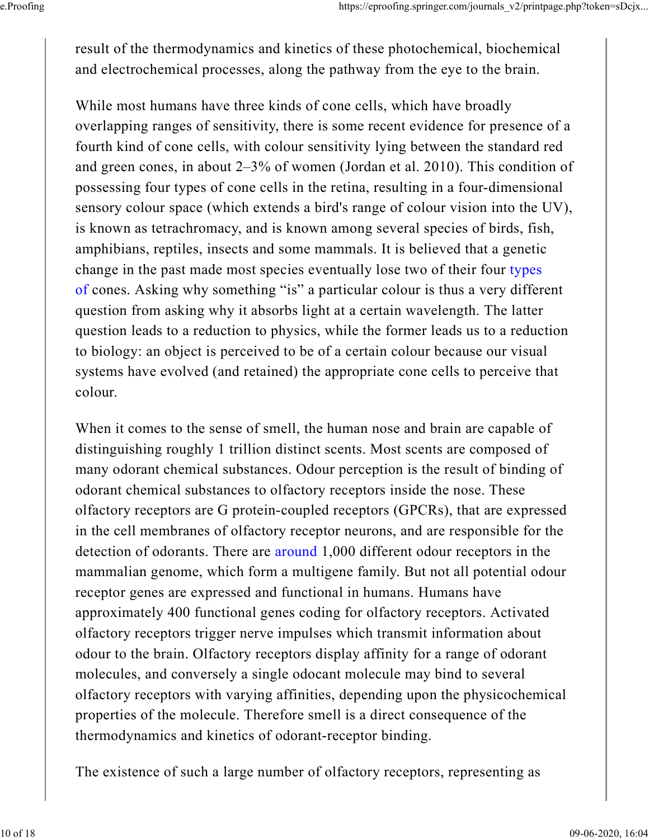result of the thermodynamics and kinetics of these photochemical, biochemical and electrochemical processes, along the pathway from the eye to the brain.

While most humans have three kinds of cone cells, which have broadly overlapping ranges of sensitivity, there is some recent evidence for presence of a fourth kind of cone cells, with colour sensitivity lying between the standard red and green cones, in about 2–3% of women (Jordan et al. 2010). This condition of possessing four types of cone cells in the retina, resulting in a four-dimensional sensory colour space (which extends a bird's range of colour vision into the UV), is known as tetrachromacy, and is known among several species of birds, fish, amphibians, reptiles, insects and some mammals. It is believed that a genetic change in the past made most species eventually lose two of their four types of cones. Asking why something "is" a particular colour is thus a very different question from asking why it absorbs light at a certain wavelength. The latter question leads to a reduction to physics, while the former leads us to a reduction to biology: an object is perceived to be of a certain colour because our visual systems have evolved (and retained) the appropriate cone cells to perceive that colour.

When it comes to the sense of smell, the human nose and brain are capable of distinguishing roughly 1 trillion distinct scents. Most scents are composed of many odorant chemical substances. Odour perception is the result of binding of odorant chemical substances to olfactory receptors inside the nose. These olfactory receptors are G protein-coupled receptors (GPCRs), that are expressed in the cell membranes of olfactory receptor neurons, and are responsible for the detection of odorants. There are around 1,000 different odour receptors in the mammalian genome, which form a multigene family. But not all potential odour receptor genes are expressed and functional in humans. Humans have approximately 400 functional genes coding for olfactory receptors. Activated olfactory receptors trigger nerve impulses which transmit information about odour to the brain. Olfactory receptors display affinity for a range of odorant molecules, and conversely a single odocant molecule may bind to several olfactory receptors with varying affinities, depending upon the physicochemical properties of the molecule. Therefore smell is a direct consequence of the thermodynamics and kinetics of odorant-receptor binding.

The existence of such a large number of olfactory receptors, representing as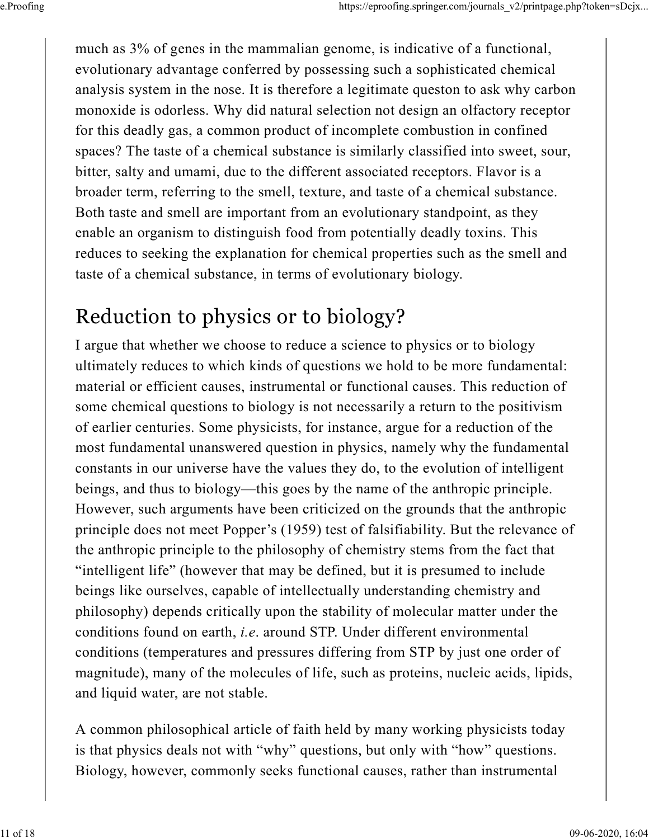much as 3% of genes in the mammalian genome, is indicative of a functional, evolutionary advantage conferred by possessing such a sophisticated chemical analysis system in the nose. It is therefore a legitimate queston to ask why carbon monoxide is odorless. Why did natural selection not design an olfactory receptor for this deadly gas, a common product of incomplete combustion in confined spaces? The taste of a chemical substance is similarly classified into sweet, sour, bitter, salty and umami, due to the different associated receptors. Flavor is a broader term, referring to the smell, texture, and taste of a chemical substance. Both taste and smell are important from an evolutionary standpoint, as they enable an organism to distinguish food from potentially deadly toxins. This reduces to seeking the explanation for chemical properties such as the smell and taste of a chemical substance, in terms of evolutionary biology.

## Reduction to physics or to biology?

I argue that whether we choose to reduce a science to physics or to biology ultimately reduces to which kinds of questions we hold to be more fundamental: material or efficient causes, instrumental or functional causes. This reduction of some chemical questions to biology is not necessarily a return to the positivism of earlier centuries. Some physicists, for instance, argue for a reduction of the most fundamental unanswered question in physics, namely why the fundamental constants in our universe have the values they do, to the evolution of intelligent beings, and thus to biology—this goes by the name of the anthropic principle. However, such arguments have been criticized on the grounds that the anthropic principle does not meet Popper's (1959) test of falsifiability. But the relevance of the anthropic principle to the philosophy of chemistry stems from the fact that "intelligent life" (however that may be defined, but it is presumed to include beings like ourselves, capable of intellectually understanding chemistry and philosophy) depends critically upon the stability of molecular matter under the conditions found on earth, i.e. around STP. Under different environmental conditions (temperatures and pressures differing from STP by just one order of magnitude), many of the molecules of life, such as proteins, nucleic acids, lipids, and liquid water, are not stable.

A common philosophical article of faith held by many working physicists today is that physics deals not with "why" questions, but only with "how" questions. Biology, however, commonly seeks functional causes, rather than instrumental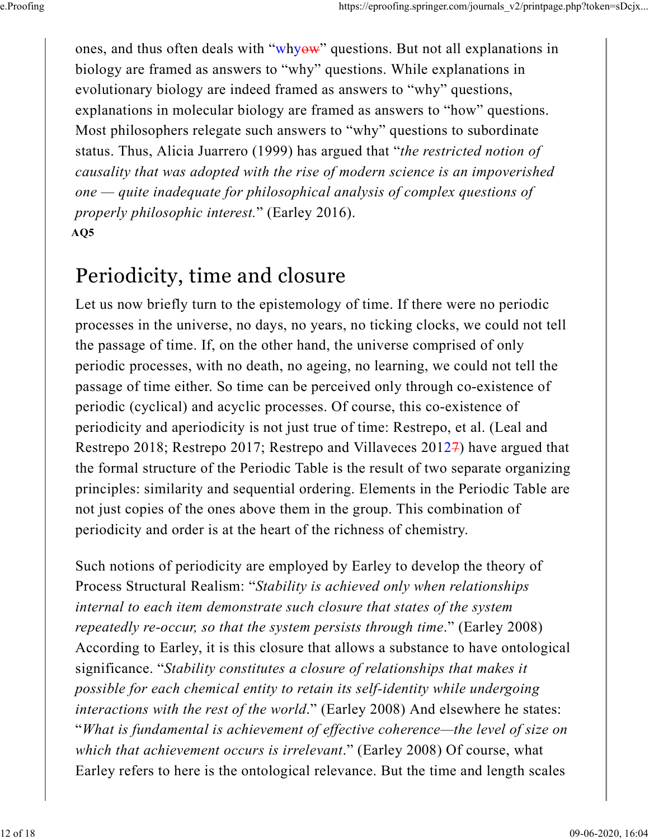ones, and thus often deals with "whyow" questions. But not all explanations in biology are framed as answers to "why" questions. While explanations in evolutionary biology are indeed framed as answers to "why" questions, explanations in molecular biology are framed as answers to "how" questions. Most philosophers relegate such answers to "why" questions to subordinate status. Thus, Alicia Juarrero (1999) has argued that "the restricted notion of causality that was adopted with the rise of modern science is an impoverished one — quite inadequate for philosophical analysis of complex questions of properly philosophic interest." (Earley 2016).  $AO5$ 

#### Periodicity, time and closure

Let us now briefly turn to the epistemology of time. If there were no periodic processes in the universe, no days, no years, no ticking clocks, we could not tell the passage of time. If, on the other hand, the universe comprised of only periodic processes, with no death, no ageing, no learning, we could not tell the passage of time either. So time can be perceived only through co-existence of periodic (cyclical) and acyclic processes. Of course, this co-existence of periodicity and aperiodicity is not just true of time: Restrepo, et al. (Leal and Restrepo 2018; Restrepo 2017; Restrepo and Villaveces 20127) have argued that the formal structure of the Periodic Table is the result of two separate organizing principles: similarity and sequential ordering. Elements in the Periodic Table are not just copies of the ones above them in the group. This combination of periodicity and order is at the heart of the richness of chemistry.

Such notions of periodicity are employed by Earley to develop the theory of Process Structural Realism: "Stability is achieved only when relationships internal to each item demonstrate such closure that states of the system repeatedly re-occur, so that the system persists through time." (Earley 2008) According to Earley, it is this closure that allows a substance to have ontological significance. "Stability constitutes a closure of relationships that makes it possible for each chemical entity to retain its self-identity while undergoing interactions with the rest of the world." (Earley 2008) And elsewhere he states: "What is fundamental is achievement of effective coherence—the level of size on which that achievement occurs is irrelevant." (Earley 2008) Of course, what Earley refers to here is the ontological relevance. But the time and length scales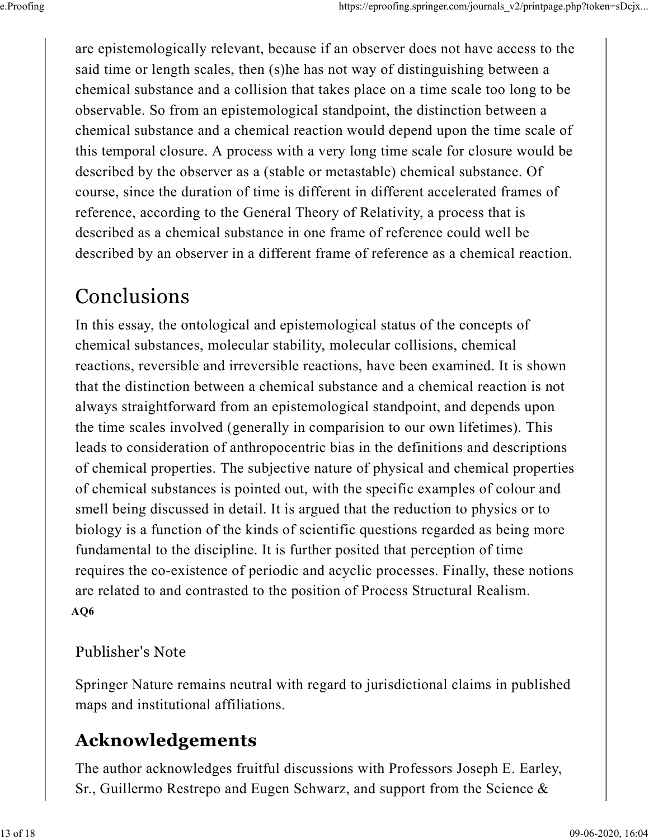are epistemologically relevant, because if an observer does not have access to the said time or length scales, then (s)he has not way of distinguishing between a chemical substance and a collision that takes place on a time scale too long to be observable. So from an epistemological standpoint, the distinction between a chemical substance and a chemical reaction would depend upon the time scale of this temporal closure. A process with a very long time scale for closure would be described by the observer as a (stable or metastable) chemical substance. Of course, since the duration of time is different in different accelerated frames of reference, according to the General Theory of Relativity, a process that is described as a chemical substance in one frame of reference could well be described by an observer in a different frame of reference as a chemical reaction.

### Conclusions

In this essay, the ontological and epistemological status of the concepts of chemical substances, molecular stability, molecular collisions, chemical reactions, reversible and irreversible reactions, have been examined. It is shown that the distinction between a chemical substance and a chemical reaction is not always straightforward from an epistemological standpoint, and depends upon the time scales involved (generally in comparision to our own lifetimes). This leads to consideration of anthropocentric bias in the definitions and descriptions of chemical properties. The subjective nature of physical and chemical properties of chemical substances is pointed out, with the specific examples of colour and smell being discussed in detail. It is argued that the reduction to physics or to biology is a function of the kinds of scientific questions regarded as being more fundamental to the discipline. It is further posited that perception of time requires the co-existence of periodic and acyclic processes. Finally, these notions are related to and contrasted to the position of Process Structural Realism. AQ6

#### Publisher's Note

Springer Nature remains neutral with regard to jurisdictional claims in published maps and institutional affiliations.

#### Acknowledgements

The author acknowledges fruitful discussions with Professors Joseph E. Earley, Sr., Guillermo Restrepo and Eugen Schwarz, and support from the Science &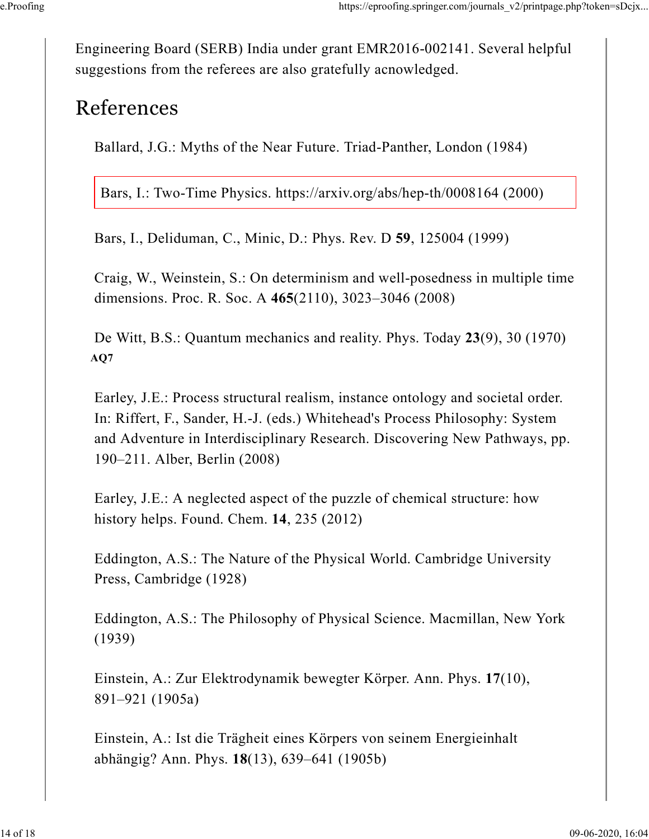Engineering Board (SERB) India under grant EMR2016-002141. Several helpful suggestions from the referees are also gratefully acnowledged.

#### References

Ballard, J.G.: Myths of the Near Future. Triad-Panther, London (1984)

Bars, I.: Two-Time Physics. https://arxiv.org/abs/hep-th/0008164 (2000)

Bars, I., Deliduman, C., Minic, D.: Phys. Rev. D 59, 125004 (1999)

Craig, W., Weinstein, S.: On determinism and well-posedness in multiple time dimensions. Proc. R. Soc. A 465(2110), 3023–3046 (2008)

De Witt, B.S.: Quantum mechanics and reality. Phys. Today 23(9), 30 (1970) AQ7

Earley, J.E.: Process structural realism, instance ontology and societal order. In: Riffert, F., Sander, H.-J. (eds.) Whitehead's Process Philosophy: System and Adventure in Interdisciplinary Research. Discovering New Pathways, pp. 190–211. Alber, Berlin (2008)

Earley, J.E.: A neglected aspect of the puzzle of chemical structure: how history helps. Found. Chem. 14, 235 (2012)

Eddington, A.S.: The Nature of the Physical World. Cambridge University Press, Cambridge (1928)

Eddington, A.S.: The Philosophy of Physical Science. Macmillan, New York (1939)

Einstein, A.: Zur Elektrodynamik bewegter Körper. Ann. Phys. 17(10), 891–921 (1905a)

Einstein, A.: Ist die Trägheit eines Körpers von seinem Energieinhalt abhängig? Ann. Phys. 18(13), 639–641 (1905b)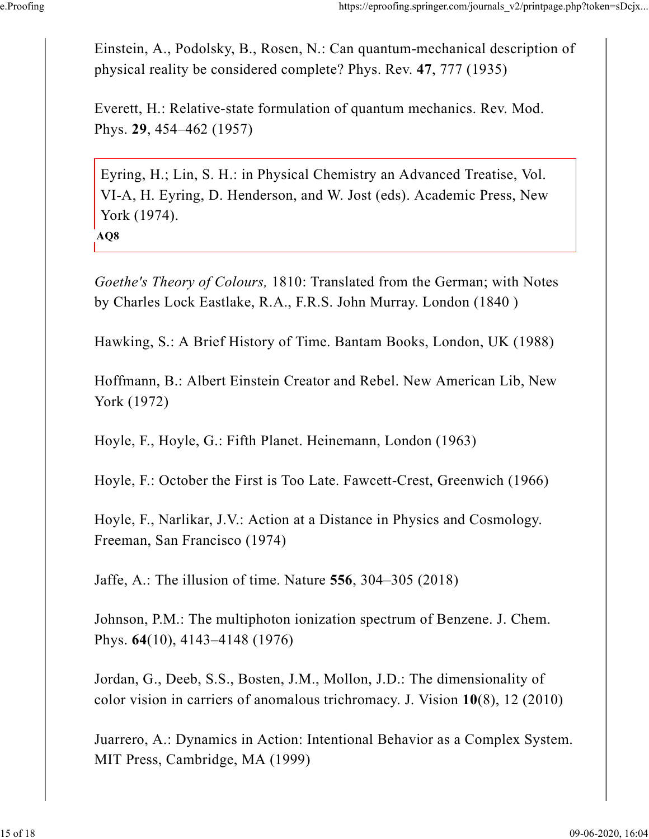Einstein, A., Podolsky, B., Rosen, N.: Can quantum-mechanical description of physical reality be considered complete? Phys. Rev. 47, 777 (1935)

Everett, H.: Relative-state formulation of quantum mechanics. Rev. Mod. Phys. 29, 454–462 (1957)

Eyring, H.; Lin, S. H.: in Physical Chemistry an Advanced Treatise, Vol. VI-A, H. Eyring, D. Henderson, and W. Jost (eds). Academic Press, New York (1974).

AQ8

Goethe's Theory of Colours, 1810: Translated from the German; with Notes by Charles Lock Eastlake, R.A., F.R.S. John Murray. London (1840 )

Hawking, S.: A Brief History of Time. Bantam Books, London, UK (1988)

Hoffmann, B.: Albert Einstein Creator and Rebel. New American Lib, New York (1972)

Hoyle, F., Hoyle, G.: Fifth Planet. Heinemann, London (1963)

Hoyle, F.: October the First is Too Late. Fawcett-Crest, Greenwich (1966)

Hoyle, F., Narlikar, J.V.: Action at a Distance in Physics and Cosmology. Freeman, San Francisco (1974)

Jaffe, A.: The illusion of time. Nature 556, 304–305 (2018)

Johnson, P.M.: The multiphoton ionization spectrum of Benzene. J. Chem. Phys. 64(10), 4143–4148 (1976)

Jordan, G., Deeb, S.S., Bosten, J.M., Mollon, J.D.: The dimensionality of color vision in carriers of anomalous trichromacy. J. Vision 10(8), 12 (2010)

Juarrero, A.: Dynamics in Action: Intentional Behavior as a Complex System. MIT Press, Cambridge, MA (1999)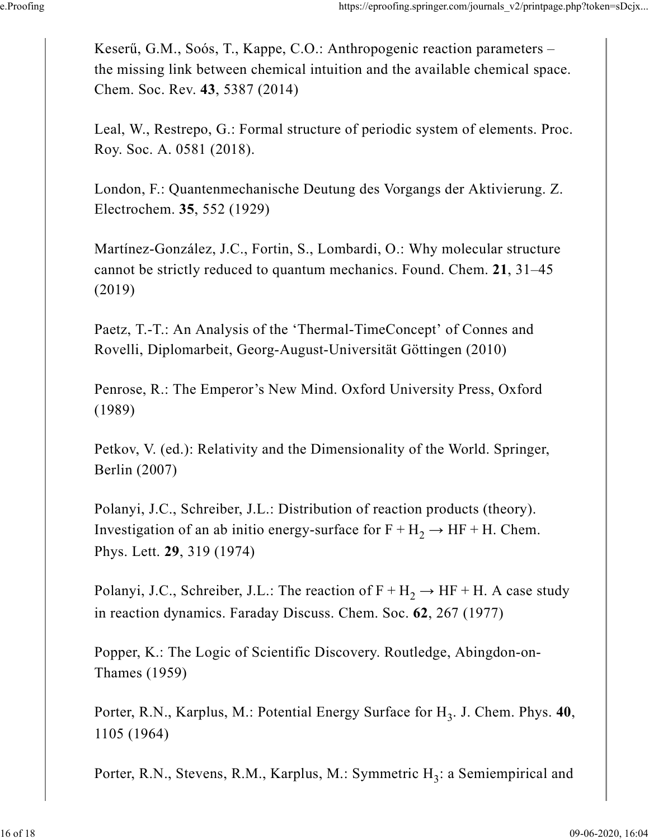Keserű, G.M., Soós, T., Kappe, C.O.: Anthropogenic reaction parameters – the missing link between chemical intuition and the available chemical space. Chem. Soc. Rev. 43, 5387 (2014)

Leal, W., Restrepo, G.: Formal structure of periodic system of elements. Proc. Roy. Soc. A. 0581 (2018).

London, F.: Quantenmechanische Deutung des Vorgangs der Aktivierung. Z. Electrochem. 35, 552 (1929)

Martínez-González, J.C., Fortin, S., Lombardi, O.: Why molecular structure cannot be strictly reduced to quantum mechanics. Found. Chem. 21, 31–45 (2019)

Paetz, T.-T.: An Analysis of the 'Thermal-TimeConcept' of Connes and Rovelli, Diplomarbeit, Georg-August-Universität Göttingen (2010)

Penrose, R.: The Emperor's New Mind. Oxford University Press, Oxford (1989)

Petkov, V. (ed.): Relativity and the Dimensionality of the World. Springer, Berlin (2007)

Polanyi, J.C., Schreiber, J.L.: Distribution of reaction products (theory). Investigation of an ab initio energy-surface for  $F + H_2 \rightarrow HF + H$ . Chem. Phys. Lett. 29, 319 (1974)

Polanyi, J.C., Schreiber, J.L.: The reaction of  $\text{F} + \text{H}_2 \rightarrow \text{HF} + \text{H}$ . A case study in reaction dynamics. Faraday Discuss. Chem. Soc. 62, 267 (1977)

Popper, K.: The Logic of Scientific Discovery. Routledge, Abingdon-on-Thames (1959)

Porter, R.N., Karplus, M.: Potential Energy Surface for  $H_3$ . J. Chem. Phys. 40, 1105 (1964)

Porter, R.N., Stevens, R.M., Karplus, M.: Symmetric  $H_3$ : a Semiempirical and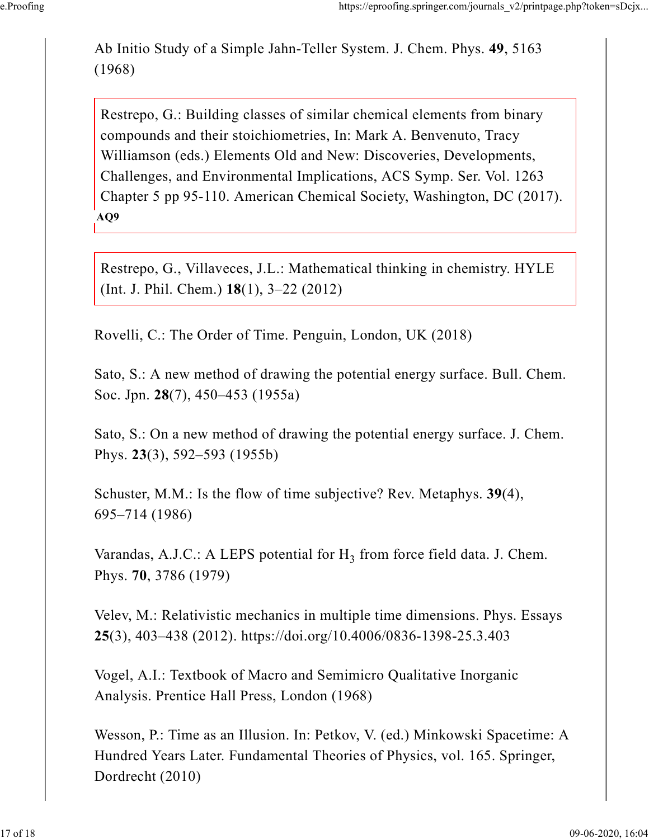Ab Initio Study of a Simple Jahn-Teller System. J. Chem. Phys. 49, 5163 (1968)

Restrepo, G.: Building classes of similar chemical elements from binary compounds and their stoichiometries, In: Mark A. Benvenuto, Tracy Williamson (eds.) Elements Old and New: Discoveries, Developments, Challenges, and Environmental Implications, ACS Symp. Ser. Vol. 1263 Chapter 5 pp 95-110. American Chemical Society, Washington, DC (2017). AQ9

Restrepo, G., Villaveces, J.L.: Mathematical thinking in chemistry. HYLE (Int. J. Phil. Chem.) 18(1), 3–22 (2012)

Rovelli, C.: The Order of Time. Penguin, London, UK (2018)

Sato, S.: A new method of drawing the potential energy surface. Bull. Chem. Soc. Jpn. 28(7), 450–453 (1955a)

Sato, S.: On a new method of drawing the potential energy surface. J. Chem. Phys. 23(3), 592–593 (1955b)

Schuster, M.M.: Is the flow of time subjective? Rev. Metaphys. 39(4), 695–714 (1986)

Varandas, A.J.C.: A LEPS potential for  $H_3$  from force field data. J. Chem. Phys. 70, 3786 (1979)

Velev, M.: Relativistic mechanics in multiple time dimensions. Phys. Essays 25(3), 403–438 (2012). https://doi.org/10.4006/0836-1398-25.3.403

Vogel, A.I.: Textbook of Macro and Semimicro Qualitative Inorganic Analysis. Prentice Hall Press, London (1968)

Wesson, P.: Time as an Illusion. In: Petkov, V. (ed.) Minkowski Spacetime: A Hundred Years Later. Fundamental Theories of Physics, vol. 165. Springer, Dordrecht (2010)